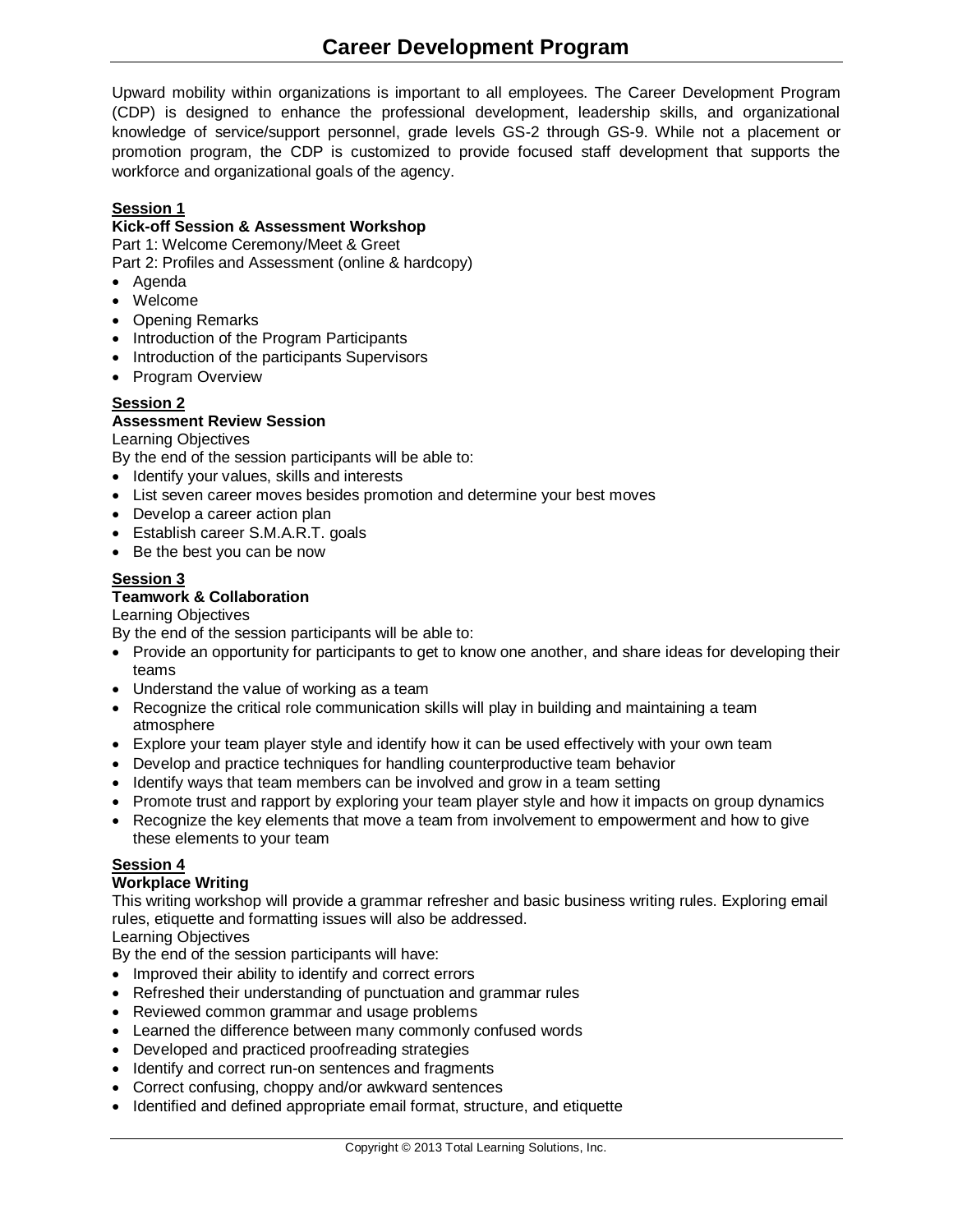Upward mobility within organizations is important to all employees. The Career Development Program (CDP) is designed to enhance the professional development, leadership skills, and organizational knowledge of service/support personnel, grade levels GS-2 through GS-9. While not a placement or promotion program, the CDP is customized to provide focused staff development that supports the workforce and organizational goals of the agency.

# **Session 1**

#### **Kick-off Session & Assessment Workshop**

Part 1: Welcome Ceremony/Meet & Greet

Part 2: Profiles and Assessment (online & hardcopy)

- Agenda
- Welcome
- Opening Remarks
- Introduction of the Program Participants
- Introduction of the participants Supervisors
- Program Overview

# **Session 2**

#### **Assessment Review Session**

Learning Objectives

By the end of the session participants will be able to:

- Identify your values, skills and interests
- List seven career moves besides promotion and determine your best moves
- Develop a career action plan
- Establish career S.M.A.R.T. goals
- Be the best you can be now

# **Session 3**

#### **Teamwork & Collaboration**

#### Learning Objectives

By the end of the session participants will be able to:

- Provide an opportunity for participants to get to know one another, and share ideas for developing their teams
- Understand the value of working as a team
- Recognize the critical role communication skills will play in building and maintaining a team atmosphere
- Explore your team player style and identify how it can be used effectively with your own team
- Develop and practice techniques for handling counterproductive team behavior
- Identify ways that team members can be involved and grow in a team setting
- Promote trust and rapport by exploring your team player style and how it impacts on group dynamics
- Recognize the key elements that move a team from involvement to empowerment and how to give these elements to your team

#### **Session 4**

#### **Workplace Writing**

This writing workshop will provide a grammar refresher and basic business writing rules. Exploring email rules, etiquette and formatting issues will also be addressed.

Learning Objectives

By the end of the session participants will have:

- Improved their ability to identify and correct errors
- Refreshed their understanding of punctuation and grammar rules
- Reviewed common grammar and usage problems
- Learned the difference between many commonly confused words
- Developed and practiced proofreading strategies
- Identify and correct run-on sentences and fragments
- Correct confusing, choppy and/or awkward sentences
- Identified and defined appropriate email format, structure, and etiquette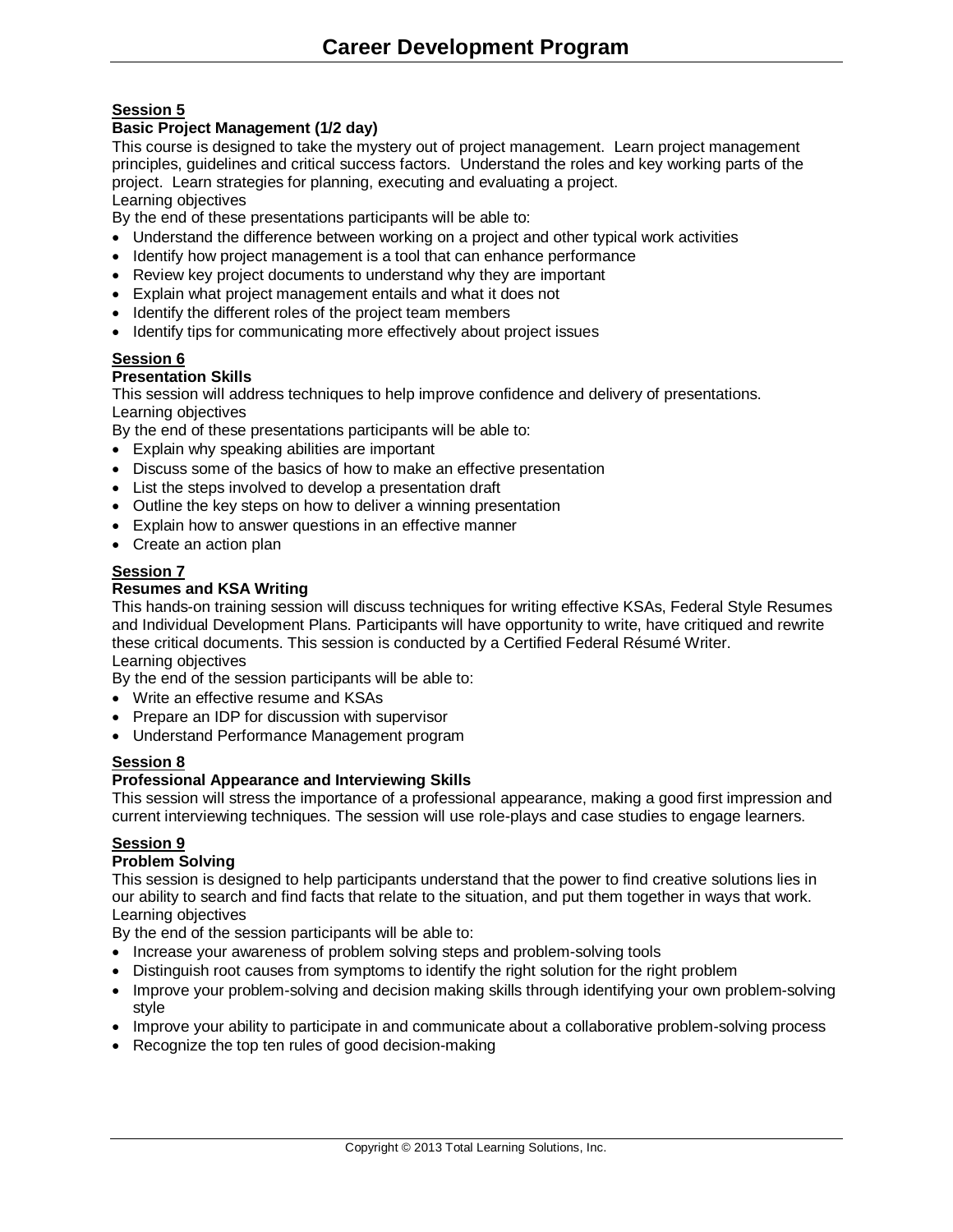# **Session 5**

# **Basic Project Management (1/2 day)**

This course is designed to take the mystery out of project management. Learn project management principles, guidelines and critical success factors. Understand the roles and key working parts of the project. Learn strategies for planning, executing and evaluating a project. Learning objectives

By the end of these presentations participants will be able to:

- Understand the difference between working on a project and other typical work activities
- Identify how project management is a tool that can enhance performance
- Review key project documents to understand why they are important
- Explain what project management entails and what it does not
- Identify the different roles of the project team members
- Identify tips for communicating more effectively about project issues

#### **Session 6**

#### **Presentation Skills**

This session will address techniques to help improve confidence and delivery of presentations. Learning objectives

By the end of these presentations participants will be able to:

- Explain why speaking abilities are important
- Discuss some of the basics of how to make an effective presentation
- List the steps involved to develop a presentation draft
- Outline the key steps on how to deliver a winning presentation
- Explain how to answer questions in an effective manner
- Create an action plan

#### **Session 7**

#### **Resumes and KSA Writing**

This hands-on training session will discuss techniques for writing effective KSAs, Federal Style Resumes and Individual Development Plans. Participants will have opportunity to write, have critiqued and rewrite these critical documents. This session is conducted by a Certified Federal Résumé Writer. Learning objectives

By the end of the session participants will be able to:

- Write an effective resume and KSAs
- Prepare an IDP for discussion with supervisor
- Understand Performance Management program

# **Session 8**

# **Professional Appearance and Interviewing Skills**

This session will stress the importance of a professional appearance, making a good first impression and current interviewing techniques. The session will use role-plays and case studies to engage learners.

# **Session 9**

#### **Problem Solving**

This session is designed to help participants understand that the power to find creative solutions lies in our ability to search and find facts that relate to the situation, and put them together in ways that work. Learning objectives

By the end of the session participants will be able to:

- Increase your awareness of problem solving steps and problem-solving tools
- Distinguish root causes from symptoms to identify the right solution for the right problem
- Improve your problem-solving and decision making skills through identifying your own problem-solving style
- Improve your ability to participate in and communicate about a collaborative problem-solving process
- Recognize the top ten rules of good decision-making